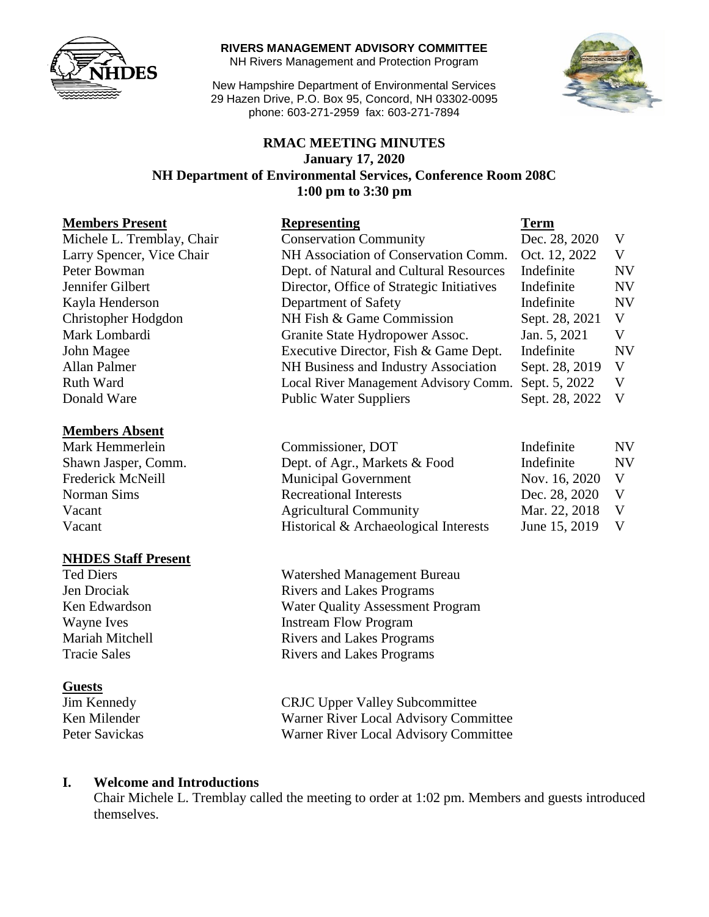

#### **RIVERS MANAGEMENT ADVISORY COMMITTEE**

NH Rivers Management and Protection Program

New Hampshire Department of Environmental Services 29 Hazen Drive, P.O. Box 95, Concord, NH 03302-0095 phone: 603-271-2959 fax: 603-271-7894



## **RMAC MEETING MINUTES January 17, 2020 NH Department of Environmental Services, Conference Room 208C 1:00 pm to 3:30 pm**

#### **Members Present Representing Term**

#### **Members Absent**

#### **NHDES Staff Present**

#### **Guests**

| Michele L. Tremblay, Chair                           | <b>Conservation Community</b>             | Dec. 28, 2020  | V              |
|------------------------------------------------------|-------------------------------------------|----------------|----------------|
| Larry Spencer, Vice Chair                            | NH Association of Conservation Comm.      |                | V              |
| Peter Bowman                                         | Dept. of Natural and Cultural Resources   | Indefinite     | NV             |
| Jennifer Gilbert                                     | Director, Office of Strategic Initiatives |                | <b>NV</b>      |
| Kayla Henderson<br>Department of Safety              |                                           | Indefinite     | <b>NV</b>      |
| Christopher Hodgdon                                  | NH Fish & Game Commission                 |                | V              |
| Mark Lombardi                                        | Granite State Hydropower Assoc.           | Jan. 5, 2021   | V              |
| John Magee                                           | Executive Director, Fish & Game Dept.     | Indefinite     | <b>NV</b>      |
| Allan Palmer<br>NH Business and Industry Association |                                           | Sept. 28, 2019 | V              |
| Ruth Ward                                            | Local River Management Advisory Comm.     | Sept. 5, 2022  | V              |
| Donald Ware                                          | <b>Public Water Suppliers</b>             | Sept. 28, 2022 | V <sub>1</sub> |
|                                                      |                                           |                |                |

| Mark Hemmerlein     | Commissioner, DOT                     | Indefinite      | <b>NV</b> |
|---------------------|---------------------------------------|-----------------|-----------|
| Shawn Jasper, Comm. | Dept. of Agr., Markets & Food         | Indefinite      | <b>NV</b> |
| Frederick McNeill   | <b>Municipal Government</b>           | Nov. 16, 2020 V |           |
| Norman Sims         | <b>Recreational Interests</b>         | Dec. 28, 2020   |           |
| Vacant              | <b>Agricultural Community</b>         | Mar. 22, 2018 V |           |
| Vacant              | Historical & Archaeological Interests | June 15, 2019 V |           |

Ted Diers Watershed Management Bureau Jen Drociak Rivers and Lakes Programs Ken Edwardson Water Quality Assessment Program Wayne Ives Instream Flow Program Mariah Mitchell **Rivers** and Lakes Programs Tracie Sales Rivers and Lakes Programs

Jim Kennedy CRJC Upper Valley Subcommittee Ken Milender Warner River Local Advisory Committee Peter Savickas Warner River Local Advisory Committee

#### **I. Welcome and Introductions**

Chair Michele L. Tremblay called the meeting to order at 1:02 pm. Members and guests introduced themselves.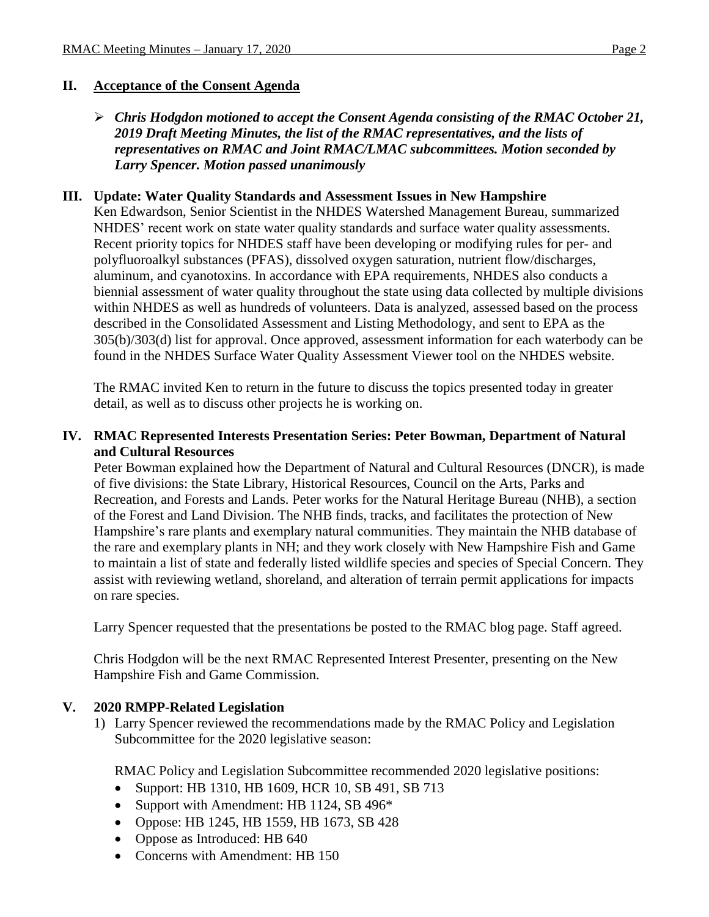## **II. Acceptance of the Consent Agenda**

#### *Chris Hodgdon motioned to accept the Consent Agenda consisting of the RMAC October 21, 2019 Draft Meeting Minutes, the list of the RMAC representatives, and the lists of representatives on RMAC and Joint RMAC/LMAC subcommittees. Motion seconded by Larry Spencer. Motion passed unanimously*

#### **III. Update: Water Quality Standards and Assessment Issues in New Hampshire**

Ken Edwardson, Senior Scientist in the NHDES Watershed Management Bureau, summarized NHDES' recent work on state water quality standards and surface water quality assessments. Recent priority topics for NHDES staff have been developing or modifying rules for per- and polyfluoroalkyl substances (PFAS), dissolved oxygen saturation, nutrient flow/discharges, aluminum, and cyanotoxins. In accordance with EPA requirements, NHDES also conducts a biennial assessment of water quality throughout the state using data collected by multiple divisions within NHDES as well as hundreds of volunteers. Data is analyzed, assessed based on the process described in the Consolidated Assessment and Listing Methodology, and sent to EPA as the 305(b)/303(d) list for approval. Once approved, assessment information for each waterbody can be found in the NHDES Surface Water Quality Assessment Viewer tool on the NHDES website.

The RMAC invited Ken to return in the future to discuss the topics presented today in greater detail, as well as to discuss other projects he is working on.

## **IV. RMAC Represented Interests Presentation Series: Peter Bowman, Department of Natural and Cultural Resources**

Peter Bowman explained how the Department of Natural and Cultural Resources (DNCR), is made of five divisions: the State Library, Historical Resources, Council on the Arts, Parks and Recreation, and Forests and Lands. Peter works for the Natural Heritage Bureau (NHB), a section of the Forest and Land Division. The NHB finds, tracks, and facilitates the protection of New Hampshire's rare plants and exemplary natural communities. They maintain the NHB database of the rare and exemplary plants in NH; and they work closely with New Hampshire Fish and Game to maintain a list of state and federally listed wildlife species and species of Special Concern. They assist with reviewing wetland, shoreland, and alteration of terrain permit applications for impacts on rare species.

Larry Spencer requested that the presentations be posted to the RMAC blog page. Staff agreed.

Chris Hodgdon will be the next RMAC Represented Interest Presenter, presenting on the New Hampshire Fish and Game Commission.

#### **V. 2020 RMPP-Related Legislation**

1) Larry Spencer reviewed the recommendations made by the RMAC Policy and Legislation Subcommittee for the 2020 legislative season:

RMAC Policy and Legislation Subcommittee recommended 2020 legislative positions:

- Support: HB 1310, HB 1609, HCR 10, SB 491, SB 713
- Support with Amendment: HB 1124, SB 496\*
- Oppose: HB 1245, HB 1559, HB 1673, SB 428
- Oppose as Introduced: HB 640
- Concerns with Amendment: HB 150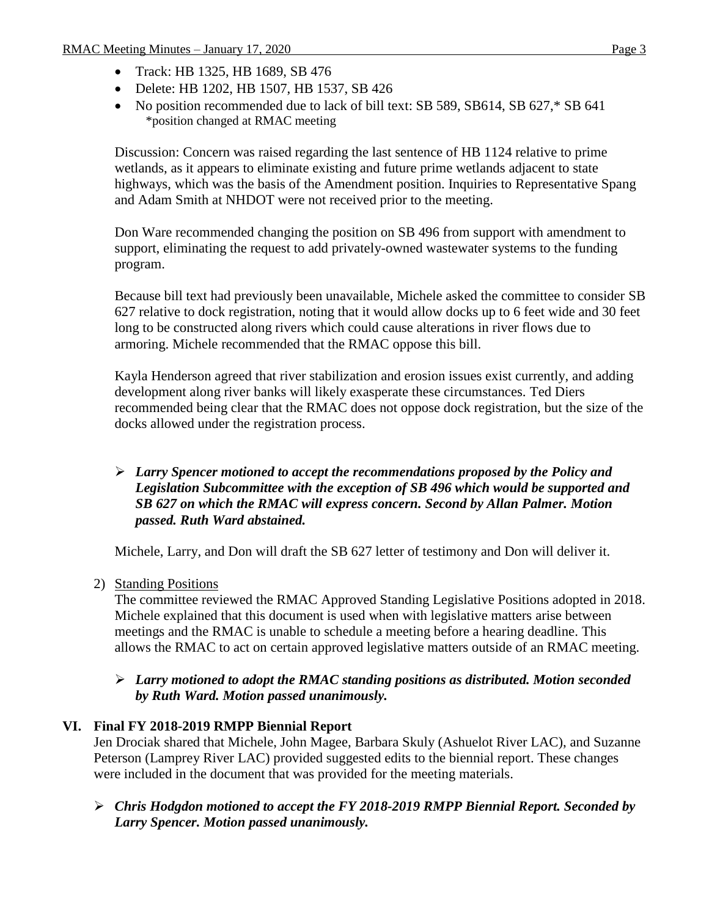- Track: HB 1325, HB 1689, SB 476
- Delete: HB 1202, HB 1507, HB 1537, SB 426
- No position recommended due to lack of bill text: SB 589, SB614, SB 627,\* SB 641 \*position changed at RMAC meeting

Discussion: Concern was raised regarding the last sentence of HB 1124 relative to prime wetlands, as it appears to eliminate existing and future prime wetlands adjacent to state highways, which was the basis of the Amendment position. Inquiries to Representative Spang and Adam Smith at NHDOT were not received prior to the meeting.

Don Ware recommended changing the position on SB 496 from support with amendment to support, eliminating the request to add privately-owned wastewater systems to the funding program.

Because bill text had previously been unavailable, Michele asked the committee to consider SB 627 relative to dock registration, noting that it would allow docks up to 6 feet wide and 30 feet long to be constructed along rivers which could cause alterations in river flows due to armoring. Michele recommended that the RMAC oppose this bill.

Kayla Henderson agreed that river stabilization and erosion issues exist currently, and adding development along river banks will likely exasperate these circumstances. Ted Diers recommended being clear that the RMAC does not oppose dock registration, but the size of the docks allowed under the registration process.

## *Larry Spencer motioned to accept the recommendations proposed by the Policy and Legislation Subcommittee with the exception of SB 496 which would be supported and SB 627 on which the RMAC will express concern. Second by Allan Palmer. Motion passed. Ruth Ward abstained.*

Michele, Larry, and Don will draft the SB 627 letter of testimony and Don will deliver it.

#### 2) Standing Positions

The committee reviewed the RMAC Approved Standing Legislative Positions adopted in 2018. Michele explained that this document is used when with legislative matters arise between meetings and the RMAC is unable to schedule a meeting before a hearing deadline. This allows the RMAC to act on certain approved legislative matters outside of an RMAC meeting.

#### *Larry motioned to adopt the RMAC standing positions as distributed. Motion seconded by Ruth Ward. Motion passed unanimously.*

# **VI. Final FY 2018-2019 RMPP Biennial Report**

Jen Drociak shared that Michele, John Magee, Barbara Skuly (Ashuelot River LAC), and Suzanne Peterson (Lamprey River LAC) provided suggested edits to the biennial report. These changes were included in the document that was provided for the meeting materials.

 *Chris Hodgdon motioned to accept the FY 2018-2019 RMPP Biennial Report. Seconded by Larry Spencer. Motion passed unanimously.*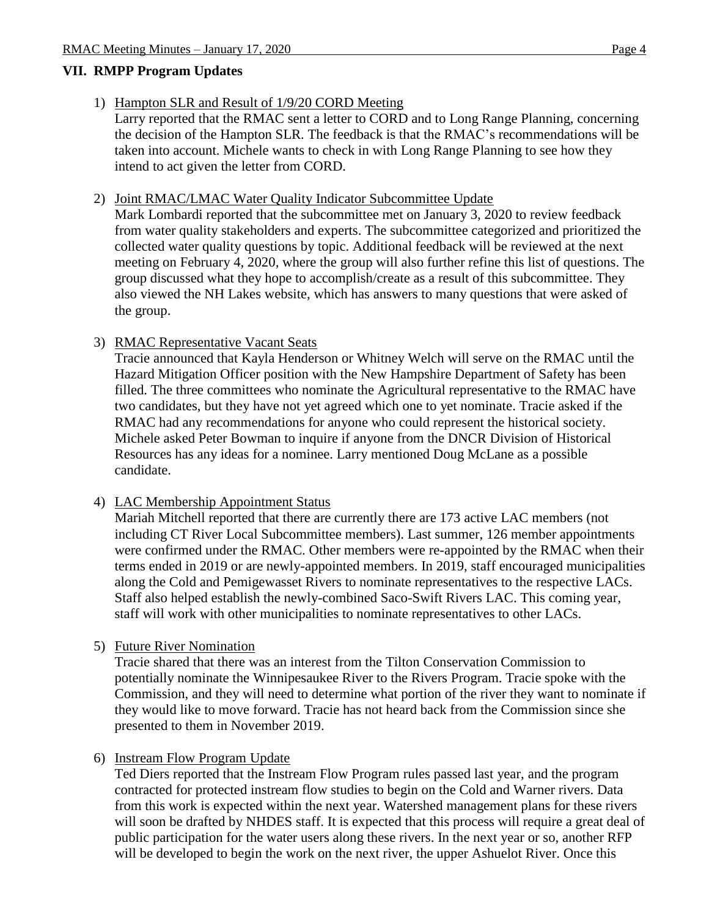# **VII. RMPP Program Updates**

- 1) Hampton SLR and Result of 1/9/20 CORD Meeting Larry reported that the RMAC sent a letter to CORD and to Long Range Planning, concerning the decision of the Hampton SLR. The feedback is that the RMAC's recommendations will be taken into account. Michele wants to check in with Long Range Planning to see how they intend to act given the letter from CORD.
- 2) Joint RMAC/LMAC Water Quality Indicator Subcommittee Update

Mark Lombardi reported that the subcommittee met on January 3, 2020 to review feedback from water quality stakeholders and experts. The subcommittee categorized and prioritized the collected water quality questions by topic. Additional feedback will be reviewed at the next meeting on February 4, 2020, where the group will also further refine this list of questions. The group discussed what they hope to accomplish/create as a result of this subcommittee. They also viewed the NH Lakes website, which has answers to many questions that were asked of the group.

3) RMAC Representative Vacant Seats

Tracie announced that Kayla Henderson or Whitney Welch will serve on the RMAC until the Hazard Mitigation Officer position with the New Hampshire Department of Safety has been filled. The three committees who nominate the Agricultural representative to the RMAC have two candidates, but they have not yet agreed which one to yet nominate. Tracie asked if the RMAC had any recommendations for anyone who could represent the historical society. Michele asked Peter Bowman to inquire if anyone from the DNCR Division of Historical Resources has any ideas for a nominee. Larry mentioned Doug McLane as a possible candidate.

#### 4) LAC Membership Appointment Status

Mariah Mitchell reported that there are currently there are 173 active LAC members (not including CT River Local Subcommittee members). Last summer, 126 member appointments were confirmed under the RMAC. Other members were re-appointed by the RMAC when their terms ended in 2019 or are newly-appointed members. In 2019, staff encouraged municipalities along the Cold and Pemigewasset Rivers to nominate representatives to the respective LACs. Staff also helped establish the newly-combined Saco-Swift Rivers LAC. This coming year, staff will work with other municipalities to nominate representatives to other LACs.

#### 5) Future River Nomination

Tracie shared that there was an interest from the Tilton Conservation Commission to potentially nominate the Winnipesaukee River to the Rivers Program. Tracie spoke with the Commission, and they will need to determine what portion of the river they want to nominate if they would like to move forward. Tracie has not heard back from the Commission since she presented to them in November 2019.

#### 6) Instream Flow Program Update

Ted Diers reported that the Instream Flow Program rules passed last year, and the program contracted for protected instream flow studies to begin on the Cold and Warner rivers. Data from this work is expected within the next year. Watershed management plans for these rivers will soon be drafted by NHDES staff. It is expected that this process will require a great deal of public participation for the water users along these rivers. In the next year or so, another RFP will be developed to begin the work on the next river, the upper Ashuelot River. Once this